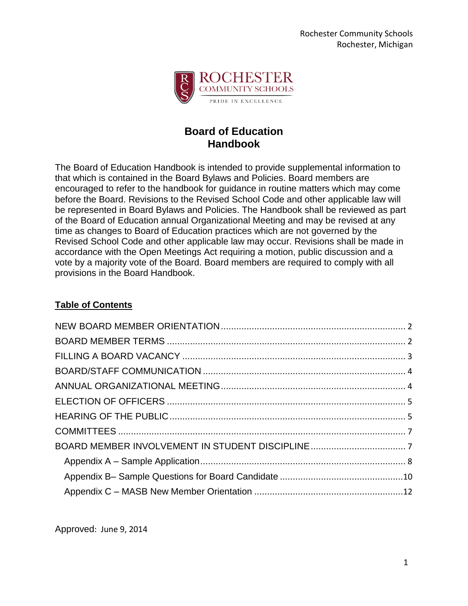

# **Board of Education Handbook**

The Board of Education Handbook is intended to provide supplemental information to that which is contained in the Board Bylaws and Policies. Board members are encouraged to refer to the handbook for guidance in routine matters which may come before the Board. Revisions to the Revised School Code and other applicable law will be represented in Board Bylaws and Policies. The Handbook shall be reviewed as part of the Board of Education annual Organizational Meeting and may be revised at any time as changes to Board of Education practices which are not governed by the Revised School Code and other applicable law may occur. Revisions shall be made in accordance with the Open Meetings Act requiring a motion, public discussion and a vote by a majority vote of the Board. Board members are required to comply with all provisions in the Board Handbook.

### **Table of Contents**

Approved: June 9, 2014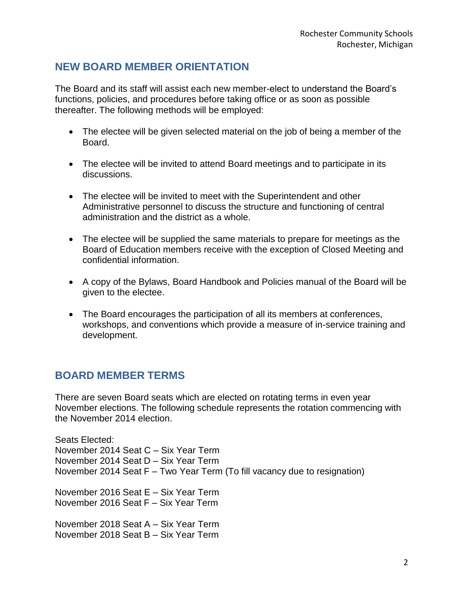### <span id="page-1-0"></span>**NEW BOARD MEMBER ORIENTATION**

The Board and its staff will assist each new member-elect to understand the Board's functions, policies, and procedures before taking office or as soon as possible thereafter. The following methods will be employed:

- The electee will be given selected material on the job of being a member of the Board.
- The electee will be invited to attend Board meetings and to participate in its discussions.
- The electee will be invited to meet with the Superintendent and other Administrative personnel to discuss the structure and functioning of central administration and the district as a whole.
- The electee will be supplied the same materials to prepare for meetings as the Board of Education members receive with the exception of Closed Meeting and confidential information.
- A copy of the Bylaws, Board Handbook and Policies manual of the Board will be given to the electee.
- The Board encourages the participation of all its members at conferences, workshops, and conventions which provide a measure of in-service training and development.

### <span id="page-1-1"></span>**BOARD MEMBER TERMS**

There are seven Board seats which are elected on rotating terms in even year November elections. The following schedule represents the rotation commencing with the November 2014 election.

Seats Elected: November 2014 Seat C – Six Year Term November 2014 Seat D – Six Year Term November 2014 Seat F – Two Year Term (To fill vacancy due to resignation)

November 2016 Seat E – Six Year Term November 2016 Seat F – Six Year Term

November 2018 Seat A – Six Year Term November 2018 Seat B – Six Year Term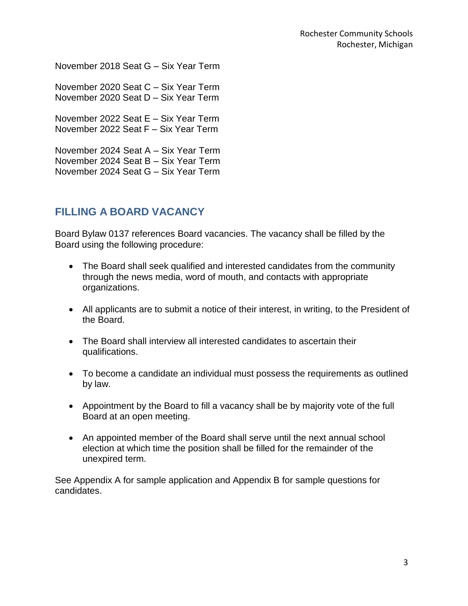November 2018 Seat G – Six Year Term

November 2020 Seat C – Six Year Term November 2020 Seat D – Six Year Term

November 2022 Seat E – Six Year Term November 2022 Seat F – Six Year Term

November 2024 Seat A – Six Year Term November 2024 Seat B – Six Year Term November 2024 Seat G – Six Year Term

## <span id="page-2-0"></span>**FILLING A BOARD VACANCY**

Board Bylaw 0137 references Board vacancies. The vacancy shall be filled by the Board using the following procedure:

- The Board shall seek qualified and interested candidates from the community through the news media, word of mouth, and contacts with appropriate organizations.
- All applicants are to submit a notice of their interest, in writing, to the President of the Board.
- The Board shall interview all interested candidates to ascertain their qualifications.
- To become a candidate an individual must possess the requirements as outlined by law.
- Appointment by the Board to fill a vacancy shall be by majority vote of the full Board at an open meeting.
- An appointed member of the Board shall serve until the next annual school election at which time the position shall be filled for the remainder of the unexpired term.

See Appendix A for sample application and Appendix B for sample questions for candidates.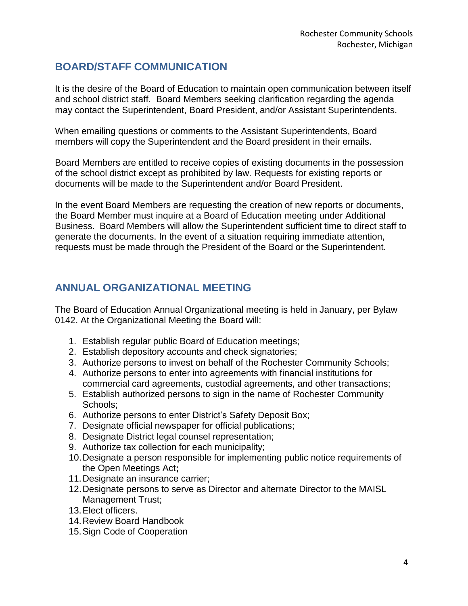# <span id="page-3-0"></span>**BOARD/STAFF COMMUNICATION**

It is the desire of the Board of Education to maintain open communication between itself and school district staff. Board Members seeking clarification regarding the agenda may contact the Superintendent, Board President, and/or Assistant Superintendents.

When emailing questions or comments to the Assistant Superintendents, Board members will copy the Superintendent and the Board president in their emails.

Board Members are entitled to receive copies of existing documents in the possession of the school district except as prohibited by law. Requests for existing reports or documents will be made to the Superintendent and/or Board President.

In the event Board Members are requesting the creation of new reports or documents, the Board Member must inquire at a Board of Education meeting under Additional Business. Board Members will allow the Superintendent sufficient time to direct staff to generate the documents. In the event of a situation requiring immediate attention, requests must be made through the President of the Board or the Superintendent.

### <span id="page-3-1"></span>**ANNUAL ORGANIZATIONAL MEETING**

The Board of Education Annual Organizational meeting is held in January, per Bylaw 0142. At the Organizational Meeting the Board will:

- 1. Establish regular public Board of Education meetings;
- 2. Establish depository accounts and check signatories;
- 3. Authorize persons to invest on behalf of the Rochester Community Schools;
- 4. Authorize persons to enter into agreements with financial institutions for commercial card agreements, custodial agreements, and other transactions;
- 5. Establish authorized persons to sign in the name of Rochester Community Schools;
- 6. Authorize persons to enter District's Safety Deposit Box;
- 7. Designate official newspaper for official publications;
- 8. Designate District legal counsel representation;
- 9. Authorize tax collection for each municipality;
- 10.Designate a person responsible for implementing public notice requirements of the Open Meetings Act**;**
- 11.Designate an insurance carrier;
- 12.Designate persons to serve as Director and alternate Director to the MAISL Management Trust;
- 13.Elect officers.
- 14.Review Board Handbook
- 15.Sign Code of Cooperation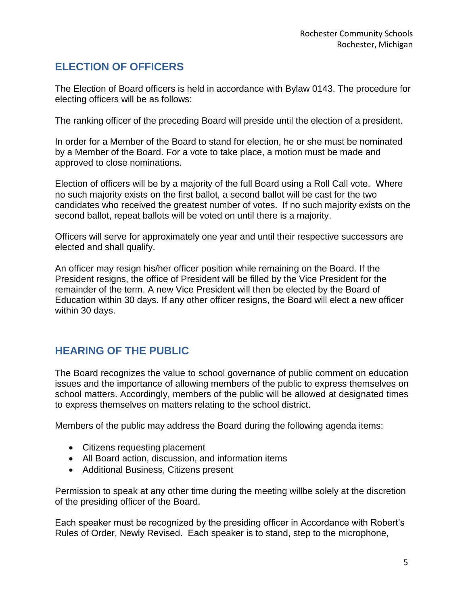# <span id="page-4-0"></span>**ELECTION OF OFFICERS**

The Election of Board officers is held in accordance with Bylaw 0143. The procedure for electing officers will be as follows:

The ranking officer of the preceding Board will preside until the election of a president.

In order for a Member of the Board to stand for election, he or she must be nominated by a Member of the Board. For a vote to take place, a motion must be made and approved to close nominations.

Election of officers will be by a majority of the full Board using a Roll Call vote. Where no such majority exists on the first ballot, a second ballot will be cast for the two candidates who received the greatest number of votes. If no such majority exists on the second ballot, repeat ballots will be voted on until there is a majority.

Officers will serve for approximately one year and until their respective successors are elected and shall qualify.

An officer may resign his/her officer position while remaining on the Board. If the President resigns, the office of President will be filled by the Vice President for the remainder of the term. A new Vice President will then be elected by the Board of Education within 30 days. If any other officer resigns, the Board will elect a new officer within 30 days.

### <span id="page-4-1"></span>**HEARING OF THE PUBLIC**

The Board recognizes the value to school governance of public comment on education issues and the importance of allowing members of the public to express themselves on school matters. Accordingly, members of the public will be allowed at designated times to express themselves on matters relating to the school district.

Members of the public may address the Board during the following agenda items:

- Citizens requesting placement
- All Board action, discussion, and information items
- Additional Business, Citizens present

Permission to speak at any other time during the meeting willbe solely at the discretion of the presiding officer of the Board.

Each speaker must be recognized by the presiding officer in Accordance with Robert's Rules of Order, Newly Revised. Each speaker is to stand, step to the microphone,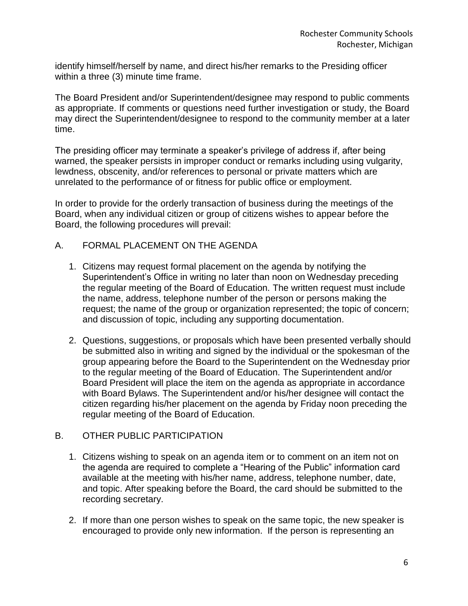identify himself/herself by name, and direct his/her remarks to the Presiding officer within a three (3) minute time frame.

The Board President and/or Superintendent/designee may respond to public comments as appropriate. If comments or questions need further investigation or study, the Board may direct the Superintendent/designee to respond to the community member at a later time.

The presiding officer may terminate a speaker's privilege of address if, after being warned, the speaker persists in improper conduct or remarks including using vulgarity, lewdness, obscenity, and/or references to personal or private matters which are unrelated to the performance of or fitness for public office or employment.

In order to provide for the orderly transaction of business during the meetings of the Board, when any individual citizen or group of citizens wishes to appear before the Board, the following procedures will prevail:

### A. FORMAL PLACEMENT ON THE AGENDA

- 1. Citizens may request formal placement on the agenda by notifying the Superintendent's Office in writing no later than noon on Wednesday preceding the regular meeting of the Board of Education. The written request must include the name, address, telephone number of the person or persons making the request; the name of the group or organization represented; the topic of concern; and discussion of topic, including any supporting documentation.
- 2. Questions, suggestions, or proposals which have been presented verbally should be submitted also in writing and signed by the individual or the spokesman of the group appearing before the Board to the Superintendent on the Wednesday prior to the regular meeting of the Board of Education. The Superintendent and/or Board President will place the item on the agenda as appropriate in accordance with Board Bylaws. The Superintendent and/or his/her designee will contact the citizen regarding his/her placement on the agenda by Friday noon preceding the regular meeting of the Board of Education.

### B. OTHER PUBLIC PARTICIPATION

- 1. Citizens wishing to speak on an agenda item or to comment on an item not on the agenda are required to complete a "Hearing of the Public" information card available at the meeting with his/her name, address, telephone number, date, and topic. After speaking before the Board, the card should be submitted to the recording secretary.
- 2. If more than one person wishes to speak on the same topic, the new speaker is encouraged to provide only new information. If the person is representing an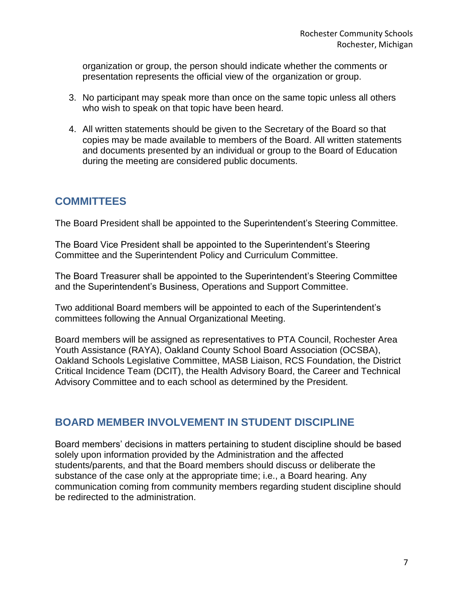organization or group, the person should indicate whether the comments or presentation represents the official view of the organization or group.

- 3. No participant may speak more than once on the same topic unless all others who wish to speak on that topic have been heard.
- 4. All written statements should be given to the Secretary of the Board so that copies may be made available to members of the Board. All written statements and documents presented by an individual or group to the Board of Education during the meeting are considered public documents.

## <span id="page-6-0"></span>**COMMITTEES**

The Board President shall be appointed to the Superintendent's Steering Committee.

The Board Vice President shall be appointed to the Superintendent's Steering Committee and the Superintendent Policy and Curriculum Committee.

The Board Treasurer shall be appointed to the Superintendent's Steering Committee and the Superintendent's Business, Operations and Support Committee.

Two additional Board members will be appointed to each of the Superintendent's committees following the Annual Organizational Meeting.

Board members will be assigned as representatives to PTA Council, Rochester Area Youth Assistance (RAYA), Oakland County School Board Association (OCSBA), Oakland Schools Legislative Committee, MASB Liaison, RCS Foundation, the District Critical Incidence Team (DCIT), the Health Advisory Board, the Career and Technical Advisory Committee and to each school as determined by the President.

### <span id="page-6-1"></span>**BOARD MEMBER INVOLVEMENT IN STUDENT DISCIPLINE**

Board members' decisions in matters pertaining to student discipline should be based solely upon information provided by the Administration and the affected students/parents, and that the Board members should discuss or deliberate the substance of the case only at the appropriate time; i.e., a Board hearing. Any communication coming from community members regarding student discipline should be redirected to the administration.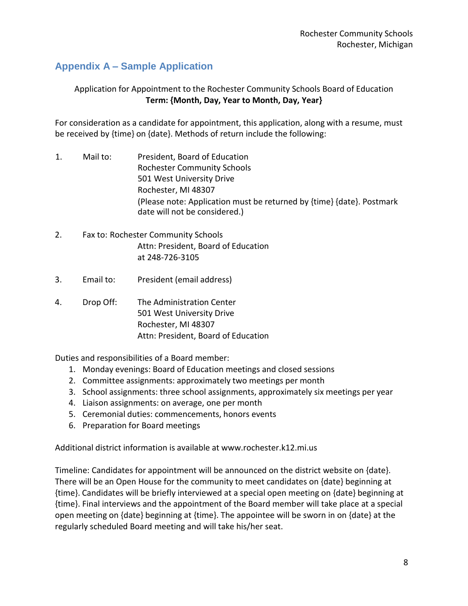### <span id="page-7-0"></span>**Appendix A – Sample Application**

### Application for Appointment to the Rochester Community Schools Board of Education **Term: {Month, Day, Year to Month, Day, Year}**

For consideration as a candidate for appointment, this application, along with a resume, must be received by {time} on {date}. Methods of return include the following:

- 1. Mail to: President, Board of Education Rochester Community Schools 501 West University Drive Rochester, MI 48307 (Please note: Application must be returned by {time} {date}. Postmark date will not be considered.)
- 2. Fax to: Rochester Community Schools Attn: President, Board of Education at 248-726-3105
- 3. Email to: President (email address)
- 4. Drop Off: The Administration Center 501 West University Drive Rochester, MI 48307 Attn: President, Board of Education

Duties and responsibilities of a Board member:

- 1. Monday evenings: Board of Education meetings and closed sessions
- 2. Committee assignments: approximately two meetings per month
- 3. School assignments: three school assignments, approximately six meetings per year
- 4. Liaison assignments: on average, one per month
- 5. Ceremonial duties: commencements, honors events
- 6. Preparation for Board meetings

Additional district information is available at [www.rochester.k12.mi.us](http://www.rochester.k12.mi.us/)

Timeline: Candidates for appointment will be announced on the district website on {date}. There will be an Open House for the community to meet candidates on {date} beginning at {time}. Candidates will be briefly interviewed at a special open meeting on {date} beginning at {time}. Final interviews and the appointment of the Board member will take place at a special open meeting on {date} beginning at {time}. The appointee will be sworn in on {date} at the regularly scheduled Board meeting and will take his/her seat.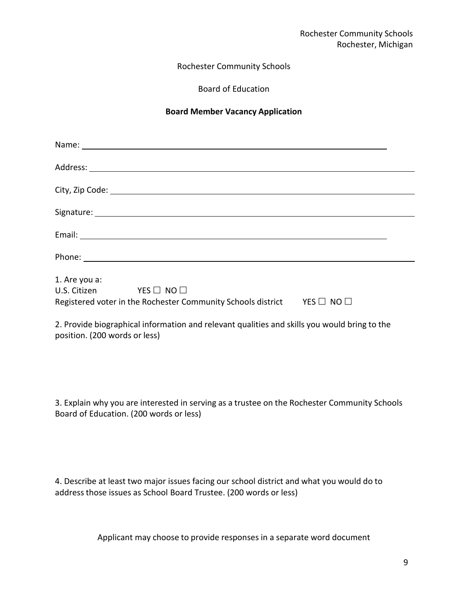#### Rochester Community Schools

Board of Education

#### **Board Member Vacancy Application**

| 1. Are you a:           |                                                                                   |  |
|-------------------------|-----------------------------------------------------------------------------------|--|
| U.S. Citizen YES □ NO □ | Registered voter in the Rochester Community Schools district YES $\Box$ NO $\Box$ |  |

2. Provide biographical information and relevant qualities and skills you would bring to the position. (200 words or less)

3. Explain why you are interested in serving as a trustee on the Rochester Community Schools Board of Education. (200 words or less)

4. Describe at least two major issues facing our school district and what you would do to address those issues as School Board Trustee. (200 words or less)

Applicant may choose to provide responses in a separate word document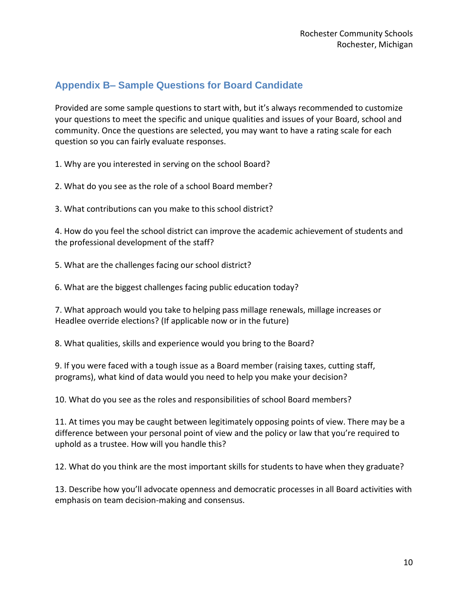# <span id="page-9-0"></span>**Appendix B– Sample Questions for Board Candidate**

Provided are some sample questions to start with, but it's always recommended to customize your questions to meet the specific and unique qualities and issues of your Board, school and community. Once the questions are selected, you may want to have a rating scale for each question so you can fairly evaluate responses.

1. Why are you interested in serving on the school Board?

2. What do you see as the role of a school Board member?

3. What contributions can you make to this school district?

4. How do you feel the school district can improve the academic achievement of students and the professional development of the staff?

5. What are the challenges facing our school district?

6. What are the biggest challenges facing public education today?

7. What approach would you take to helping pass millage renewals, millage increases or Headlee override elections? (If applicable now or in the future)

8. What qualities, skills and experience would you bring to the Board?

9. If you were faced with a tough issue as a Board member (raising taxes, cutting staff, programs), what kind of data would you need to help you make your decision?

10. What do you see as the roles and responsibilities of school Board members?

11. At times you may be caught between legitimately opposing points of view. There may be a difference between your personal point of view and the policy or law that you're required to uphold as a trustee. How will you handle this?

12. What do you think are the most important skills for students to have when they graduate?

13. Describe how you'll advocate openness and democratic processes in all Board activities with emphasis on team decision-making and consensus.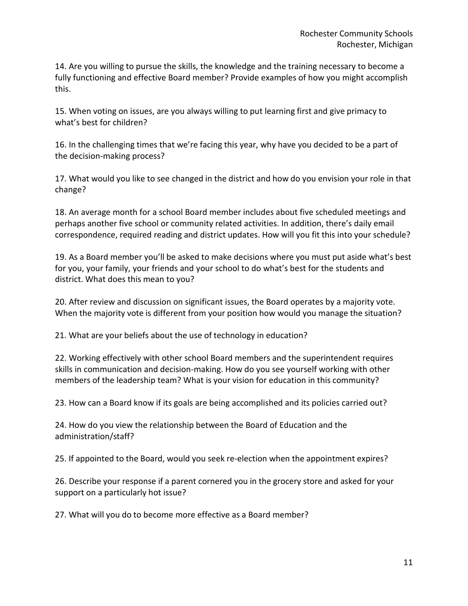14. Are you willing to pursue the skills, the knowledge and the training necessary to become a fully functioning and effective Board member? Provide examples of how you might accomplish this.

15. When voting on issues, are you always willing to put learning first and give primacy to what's best for children?

16. In the challenging times that we're facing this year, why have you decided to be a part of the decision-making process?

17. What would you like to see changed in the district and how do you envision your role in that change?

18. An average month for a school Board member includes about five scheduled meetings and perhaps another five school or community related activities. In addition, there's daily email correspondence, required reading and district updates. How will you fit this into your schedule?

19. As a Board member you'll be asked to make decisions where you must put aside what's best for you, your family, your friends and your school to do what's best for the students and district. What does this mean to you?

20. After review and discussion on significant issues, the Board operates by a majority vote. When the majority vote is different from your position how would you manage the situation?

21. What are your beliefs about the use of technology in education?

22. Working effectively with other school Board members and the superintendent requires skills in communication and decision-making. How do you see yourself working with other members of the leadership team? What is your vision for education in this community?

23. How can a Board know if its goals are being accomplished and its policies carried out?

24. How do you view the relationship between the Board of Education and the administration/staff?

25. If appointed to the Board, would you seek re-election when the appointment expires?

26. Describe your response if a parent cornered you in the grocery store and asked for your support on a particularly hot issue?

27. What will you do to become more effective as a Board member?